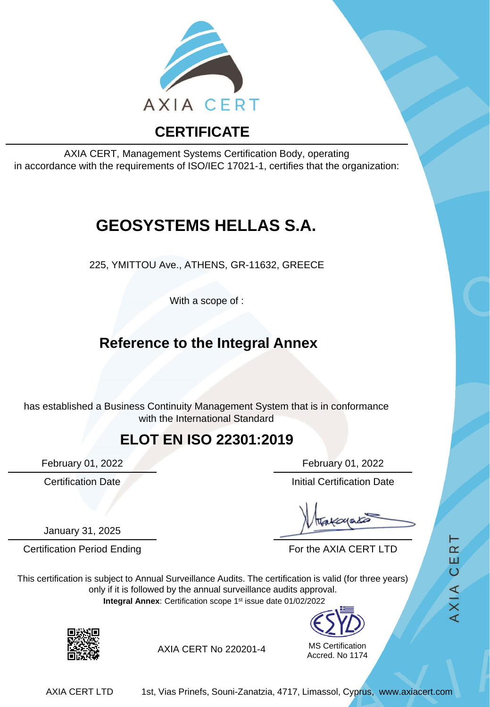

AXIA CERT, Management Systems Certification Body, operating in accordance with the requirements of ISO/IEC 17021-1, certifies that the organization:

# **GEOSYSTEMS HELLAS S.A.**

225, YMITTOU Ave., ATHENS, GR-11632, GREECE

With a scope of :

## **Reference to the Integral Annex**

has established a Business Continuity Management System that is in conformance with the International Standard

#### **ELOT EN ISO 22301:2019**

January 31, 2025

February 01, 2022 February 01, 2022

**Certification Date Initial Certification Date** 

Certification Period Ending For the AXIA CERT LTD

This certification is subject to Annual Surveillance Audits. The certification is valid (for three years) only if it is followed by the annual surveillance audits approval. **Integral Annex**: Certification scope 1st issue date 01/02/2022



MS Certification Accred. No 1174 AXIA CERT



AXIA CERT No 220201-4

AXIA CERT LTD 1st, Vias Prinefs, Souni-Zanatzia, 4717, Limassol, Cyprus, www.axiacert.com